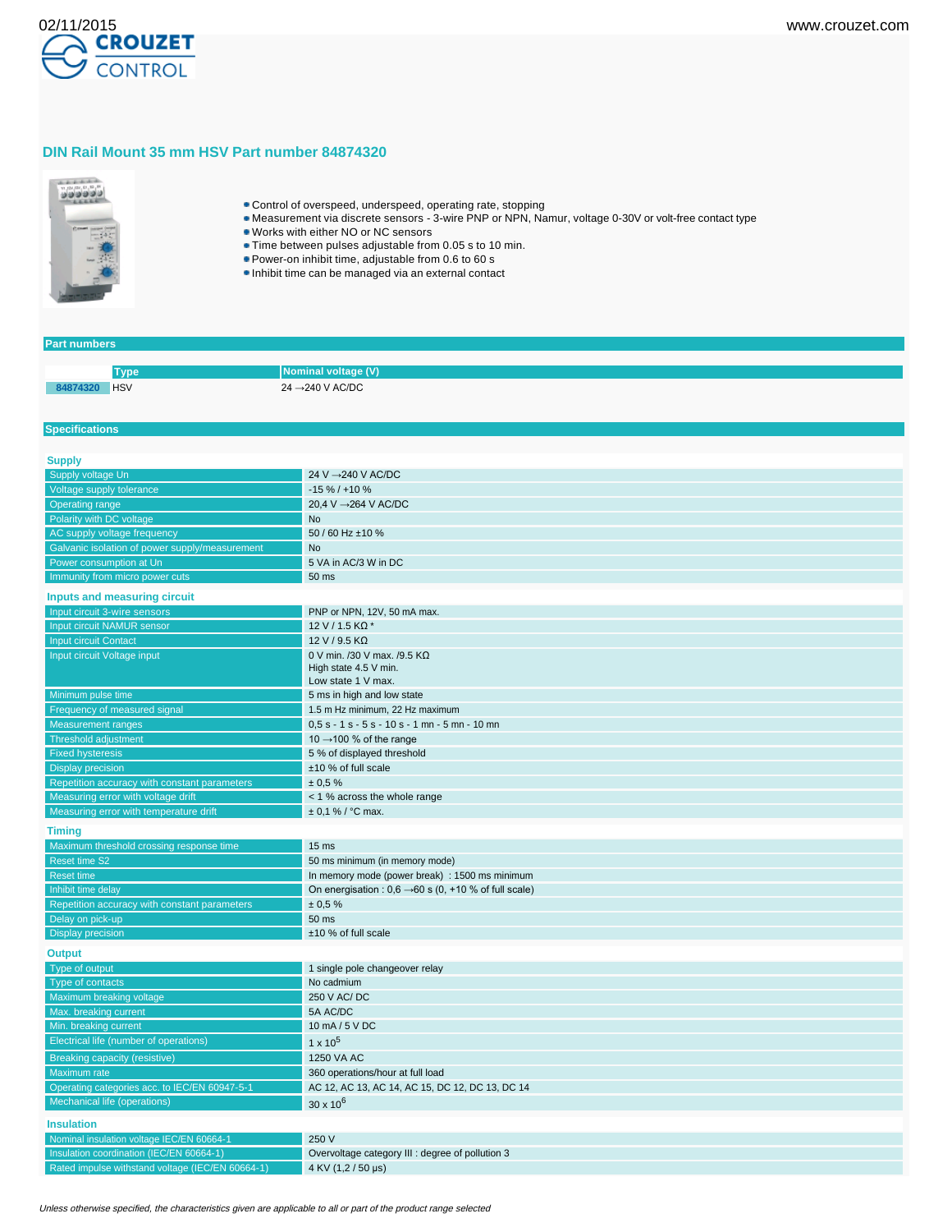

## **DIN Rail Mount 35 mm HSV Part number 84874320**



- Control of overspeed, underspeed, operating rate, stopping
- Measurement via discrete sensors 3-wire PNP or NPN, Namur, voltage 0-30V or volt-free contact type
- Works with either NO or NC sensors
- Time between pulses adjustable from 0.05 s to 10 min.
- Power-on inhibit time, adjustable from 0.6 to 60 s
- Inhibit time can be managed via an external contact

## **Part numbers**

**Specifications**

| vpe        | Nominal voltage (V)                     |
|------------|-----------------------------------------|
| <b>HSV</b> | 24 $\rightarrow$ 240 V AC/DC<br>_______ |

| <b>Supply</b>                                    |                                                                   |
|--------------------------------------------------|-------------------------------------------------------------------|
| Supply voltage Un                                | 24 V → 240 V AC/DC                                                |
| Voltage supply tolerance                         | $-15\% / +10\%$                                                   |
| <b>Operating range</b>                           | 20,4 V → 264 V AC/DC                                              |
| Polarity with DC voltage                         | <b>No</b>                                                         |
| AC supply voltage frequency                      | 50 / 60 Hz ±10 %                                                  |
| Galvanic isolation of power supply/measurement   | <b>No</b>                                                         |
| Power consumption at Un                          | 5 VA in AC/3 W in DC                                              |
| Immunity from micro power cuts                   | 50 ms                                                             |
| Inputs and measuring circuit                     |                                                                   |
| Input circuit 3-wire sensors                     | PNP or NPN, 12V, 50 mA max.                                       |
| Input circuit NAMUR sensor                       | 12 V / 1.5 KΩ *                                                   |
| <b>Input circuit Contact</b>                     | 12 V / 9.5 KΩ                                                     |
| Input circuit Voltage input                      | 0 V min. /30 V max. /9.5 KΩ                                       |
|                                                  | High state 4.5 V min.                                             |
|                                                  | Low state 1 V max.                                                |
| Minimum pulse time                               | 5 ms in high and low state                                        |
| Frequency of measured signal                     | 1.5 m Hz minimum, 22 Hz maximum                                   |
| <b>Measurement ranges</b>                        | $0.5 s - 1 s - 5 s - 10 s - 1$ mn $- 5$ mn $- 10$ mn              |
| Threshold adjustment                             | 10 $\rightarrow$ 100 % of the range                               |
| <b>Fixed hysteresis</b>                          | 5 % of displayed threshold                                        |
| <b>Display precision</b>                         | ±10 % of full scale                                               |
| Repetition accuracy with constant parameters     | ± 0.5%                                                            |
| Measuring error with voltage drift               | < 1 % across the whole range                                      |
| Measuring error with temperature drift           | $\pm$ 0.1 % / °C max.                                             |
| <b>Timing</b>                                    |                                                                   |
| Maximum threshold crossing response time         | 15 <sub>ms</sub>                                                  |
| <b>Reset time S2</b>                             | 50 ms minimum (in memory mode)                                    |
| <b>Reset time</b>                                | In memory mode (power break) : 1500 ms minimum                    |
| Inhibit time delay                               | On energisation : $0,6 \rightarrow 60$ s (0, +10 % of full scale) |
| Repetition accuracy with constant parameters     | ± 0,5%                                                            |
| Delay on pick-up                                 | 50 ms                                                             |
| <b>Display precision</b>                         | ±10 % of full scale                                               |
|                                                  |                                                                   |
| <b>Output</b>                                    |                                                                   |
| Type of output<br>Type of contacts               | 1 single pole changeover relay<br>No cadmium                      |
| Maximum breaking voltage                         | 250 V AC/DC                                                       |
| Max. breaking current                            | 5A AC/DC                                                          |
| Min. breaking current                            | 10 mA / 5 V DC                                                    |
| Electrical life (number of operations)           |                                                                   |
|                                                  | $1 \times 10^5$                                                   |
| <b>Breaking capacity (resistive)</b>             | 1250 VA AC                                                        |
| Maximum rate                                     | 360 operations/hour at full load                                  |
| Operating categories acc. to IEC/EN 60947-5-1    | AC 12, AC 13, AC 14, AC 15, DC 12, DC 13, DC 14                   |
| Mechanical life (operations)                     | $30 \times 10^{6}$                                                |
| <b>Insulation</b>                                |                                                                   |
| Nominal insulation voltage IEC/EN 60664-1        | 250 V                                                             |
| Insulation coordination (IEC/EN 60664-1)         | Overvoltage category III : degree of pollution 3                  |
| Rated impulse withstand voltage (IEC/EN 60664-1) | 4 KV (1,2/50 µs)                                                  |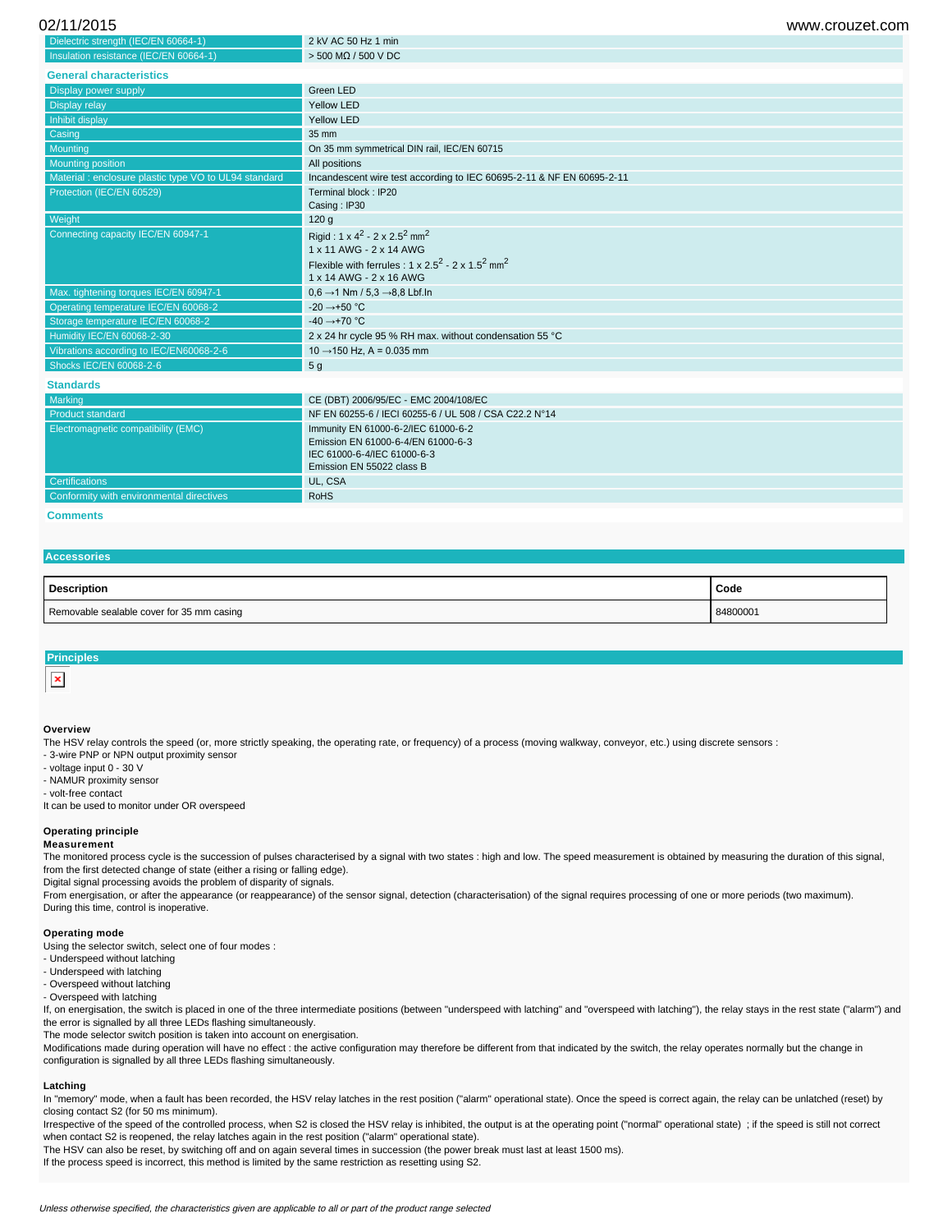| 02/11/2015 | www.crouzet.com |
|------------|-----------------|
|            |                 |

| Dielectric strength (IEC/EN 60664-1)                 | 2 kV AC 50 Hz 1 min                                                        |
|------------------------------------------------------|----------------------------------------------------------------------------|
| Insulation resistance (IEC/EN 60664-1)               | $>$ 500 MQ / 500 V DC                                                      |
| <b>General characteristics</b>                       |                                                                            |
| Display power supply                                 | Green LED                                                                  |
| Display relay                                        | Yellow LED                                                                 |
| Inhibit display                                      | Yellow LED                                                                 |
| Casing                                               | 35 mm                                                                      |
| Mounting                                             | On 35 mm symmetrical DIN rail, IEC/EN 60715                                |
| <b>Mounting position</b>                             | All positions                                                              |
| Material: enclosure plastic type VO to UL94 standard | Incandescent wire test according to IEC 60695-2-11 & NF EN 60695-2-11      |
| Protection (IEC/EN 60529)                            | Terminal block: IP20                                                       |
|                                                      | Casing: IP30                                                               |
| Weight                                               | 120 <sub>g</sub>                                                           |
| Connecting capacity IEC/EN 60947-1                   | Rigid: $1 \times 4^2 - 2 \times 2.5^2$ mm <sup>2</sup>                     |
|                                                      | 1 x 11 AWG - 2 x 14 AWG                                                    |
|                                                      | Flexible with ferrules : $1 \times 2.5^2 - 2 \times 1.5^2$ mm <sup>2</sup> |
|                                                      | 1 x 14 AWG - 2 x 16 AWG                                                    |
| Max. tightening torques IEC/EN 60947-1               | $0.6 \rightarrow 1$ Nm / 5,3 $\rightarrow$ 8,8 Lbf.ln                      |
| Operating temperature IEC/EN 60068-2                 | $-20 \rightarrow +50$ °C                                                   |
| Storage temperature IEC/EN 60068-2                   | -40 $\rightarrow$ +70 °C                                                   |
| Humidity IEC/EN 60068-2-30                           | 2 x 24 hr cycle 95 % RH max. without condensation 55 °C                    |
| Vibrations according to IEC/EN60068-2-6              | $10 \rightarrow 150$ Hz, A = 0.035 mm                                      |
| Shocks IEC/EN 60068-2-6                              | 5 <sub>g</sub>                                                             |
| <b>Standards</b>                                     |                                                                            |
| Marking                                              | CE (DBT) 2006/95/EC - EMC 2004/108/EC                                      |
| <b>Product standard</b>                              | NF EN 60255-6 / IECI 60255-6 / UL 508 / CSA C22.2 N°14                     |
| Electromagnetic compatibility (EMC)                  | Immunity EN 61000-6-2/IEC 61000-6-2                                        |
|                                                      | Emission EN 61000-6-4/EN 61000-6-3                                         |
|                                                      | IEC 61000-6-4/IEC 61000-6-3                                                |
|                                                      | Emission EN 55022 class B                                                  |
| <b>Certifications</b>                                | UL, CSA                                                                    |

**Comments**

# **Accessories**

| <b>Description</b>                        | Code     |
|-------------------------------------------|----------|
| Removable sealable cover for 35 mm casing | 84800001 |

### **Principles**

### **Overview**

The HSV relay controls the speed (or, more strictly speaking, the operating rate, or frequency) of a process (moving walkway, conveyor, etc.) using discrete sensors :

- 3-wire PNP or NPN output proximity sensor

- voltage input 0 - 30 V

- NAMUR proximity sensor

- volt-free contact

It can be used to monitor under OR overspeed

## **Operating principle**

#### **Measurement**

The monitored process cycle is the succession of pulses characterised by a signal with two states : high and low. The speed measurement is obtained by measuring the duration of this signal, from the first detected change of state (either a rising or falling edge).

Digital signal processing avoids the problem of disparity of signals.

Conformity with environmental directives **RoHS** 

From energisation, or after the appearance (or reappearance) of the sensor signal, detection (characterisation) of the signal requires processing of one or more periods (two maximum). During this time, control is inoperative.

## **Operating mode**

Using the selector switch, select one of four modes :

- Underspeed without latching

- Underspeed with latching

- Overspeed without latching - Overspeed with latching

If, on energisation, the switch is placed in one of the three intermediate positions (between "underspeed with latching" and "overspeed with latching"), the relay stays in the rest state ("alarm") and the error is signalled by all three LEDs flashing simultaneously.

The mode selector switch position is taken into account on energisation.

Modifications made during operation will have no effect : the active configuration may therefore be different from that indicated by the switch, the relay operates normally but the change in configuration is signalled by all three LEDs flashing simultaneously.

#### **Latching**

In "memory" mode, when a fault has been recorded, the HSV relay latches in the rest position ("alarm" operational state). Once the speed is correct again, the relay can be unlatched (reset) by closing contact S2 (for 50 ms minimum).

Irrespective of the speed of the controlled process, when S2 is closed the HSV relay is inhibited, the output is at the operating point ("normal" operational state) ; if the speed is still not correct when contact S2 is reopened, the relay latches again in the rest position ("alarm" operational state).

The HSV can also be reset, by switching off and on again several times in succession (the power break must last at least 1500 ms).

If the process speed is incorrect, this method is limited by the same restriction as resetting using S2.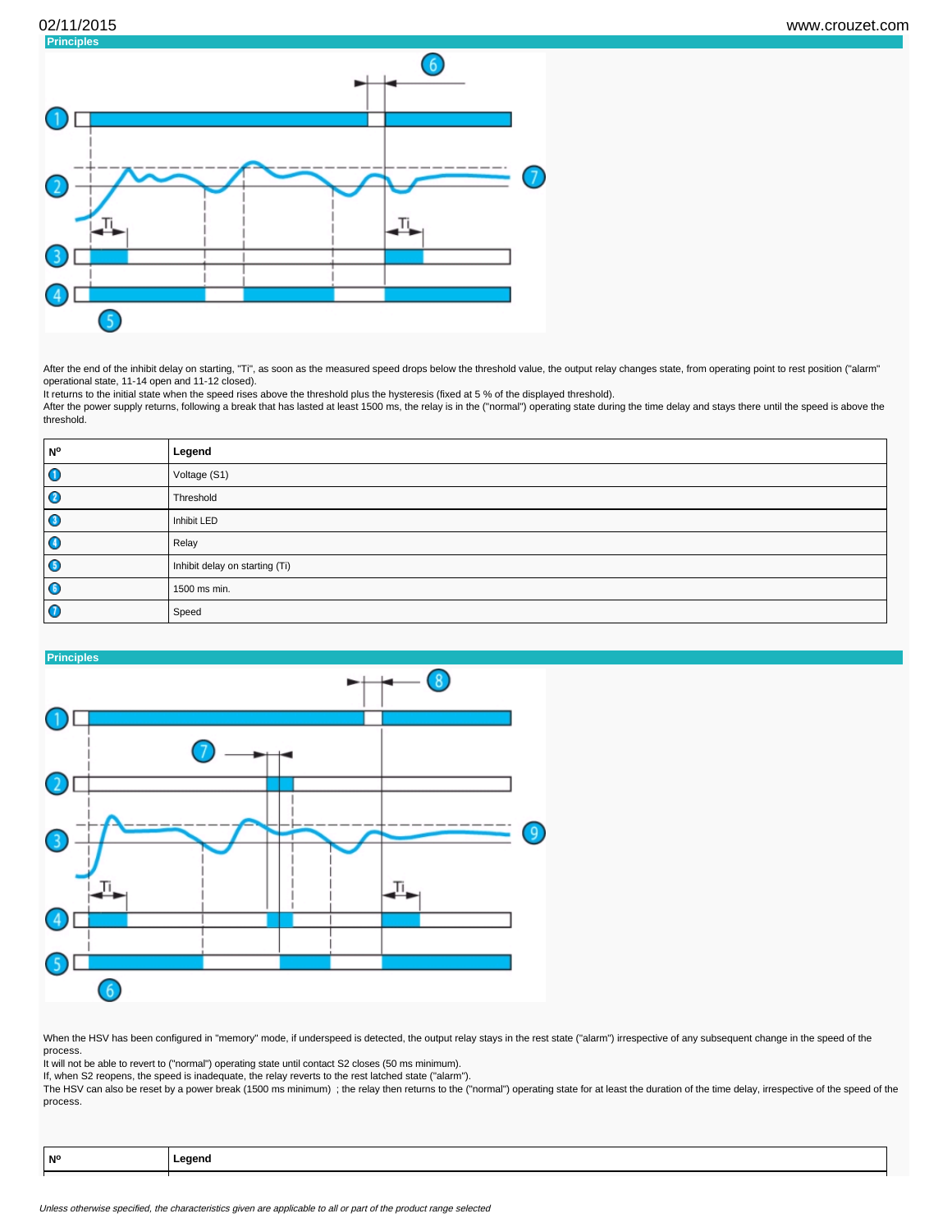

After the end of the inhibit delay on starting, "Ti", as soon as the measured speed drops below the threshold value, the output relay changes state, from operating point to rest position ("alarm" operational state, 11-14 open and 11-12 closed).

It returns to the initial state when the speed rises above the threshold plus the hysteresis (fixed at 5 % of the displayed threshold).

After the power supply returns, following a break that has lasted at least 1500 ms, the relay is in the ("normal") operating state during the time delay and stays there until the speed is above the threshold.

| <b>N°</b>   | Legend                         |
|-------------|--------------------------------|
| $\mathbf 0$ | Voltage (S1)                   |
| Ø           | Threshold                      |
| O           | Inhibit LED                    |
| $\bullet$   | Relay                          |
| $\bullet$   | Inhibit delay on starting (Ti) |
| $\bullet$   | 1500 ms min.                   |
| O           | Speed                          |



When the HSV has been configured in "memory" mode, if underspeed is detected, the output relay stays in the rest state ("alarm") irrespective of any subsequent change in the speed of the process.

It will not be able to revert to ("normal") operating state until contact S2 closes (50 ms minimum).

If, when S2 reopens, the speed is inadequate, the relay reverts to the rest latched state ("alarm").

The HSV can also be reset by a power break (1500 ms minimum) ; the relay then returns to the ("normal") operating state for at least the duration of the time delay, irrespective of the speed of the process.

| N°<br>_eaend<br> |  |
|------------------|--|
|------------------|--|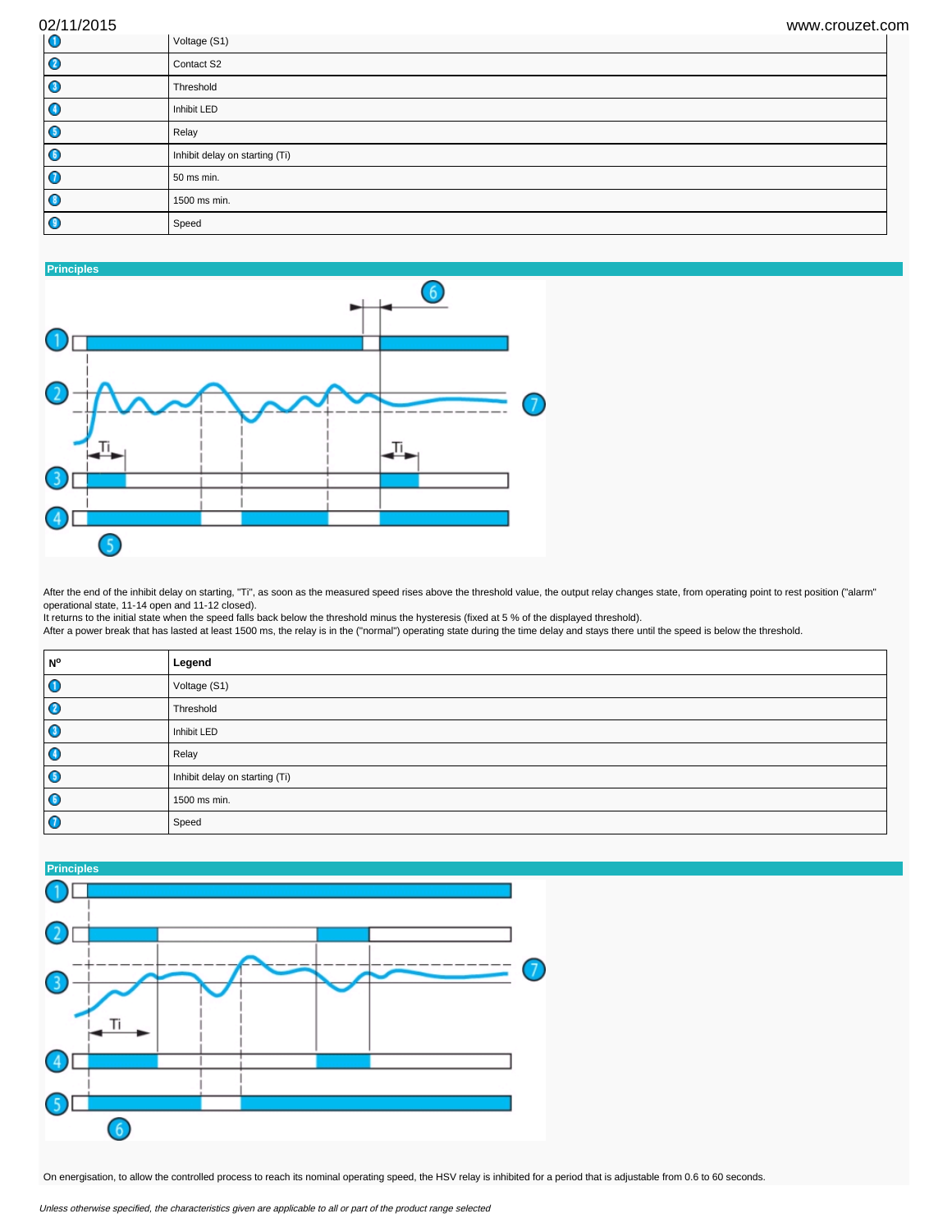| 02/11/2015       | www.crouzet.com                |
|------------------|--------------------------------|
| $\bullet$        | Voltage (S1)                   |
| Ø                | Contact S2                     |
| $\bullet$        | Threshold                      |
| $\bullet$        | Inhibit LED                    |
| $\bullet$        | Relay                          |
| $\bullet$        | Inhibit delay on starting (Ti) |
| $\bullet$        | 50 ms min.                     |
| $\bullet$        | 1500 ms min.                   |
| $\mathbf \Theta$ | Speed                          |



After the end of the inhibit delay on starting, "Ti", as soon as the measured speed rises above the threshold value, the output relay changes state, from operating point to rest position ("alarm" operational state, 11-14 open and 11-12 closed).

It returns to the initial state when the speed falls back below the threshold minus the hysteresis (fixed at 5 % of the displayed threshold).

After a power break that has lasted at least 1500 ms, the relay is in the ("normal") operating state during the time delay and stays there until the speed is below the threshold.

| <b>N°</b>   | Legend                         |
|-------------|--------------------------------|
| $\mathbf 0$ | Voltage (S1)                   |
| Ø           | Threshold                      |
| O           | Inhibit LED                    |
| O           | Relay                          |
| $\bullet$   | Inhibit delay on starting (Ti) |
| $\bullet$   | 1500 ms min.                   |
| O           | Speed                          |



On energisation, to allow the controlled process to reach its nominal operating speed, the HSV relay is inhibited for a period that is adjustable from 0.6 to 60 seconds.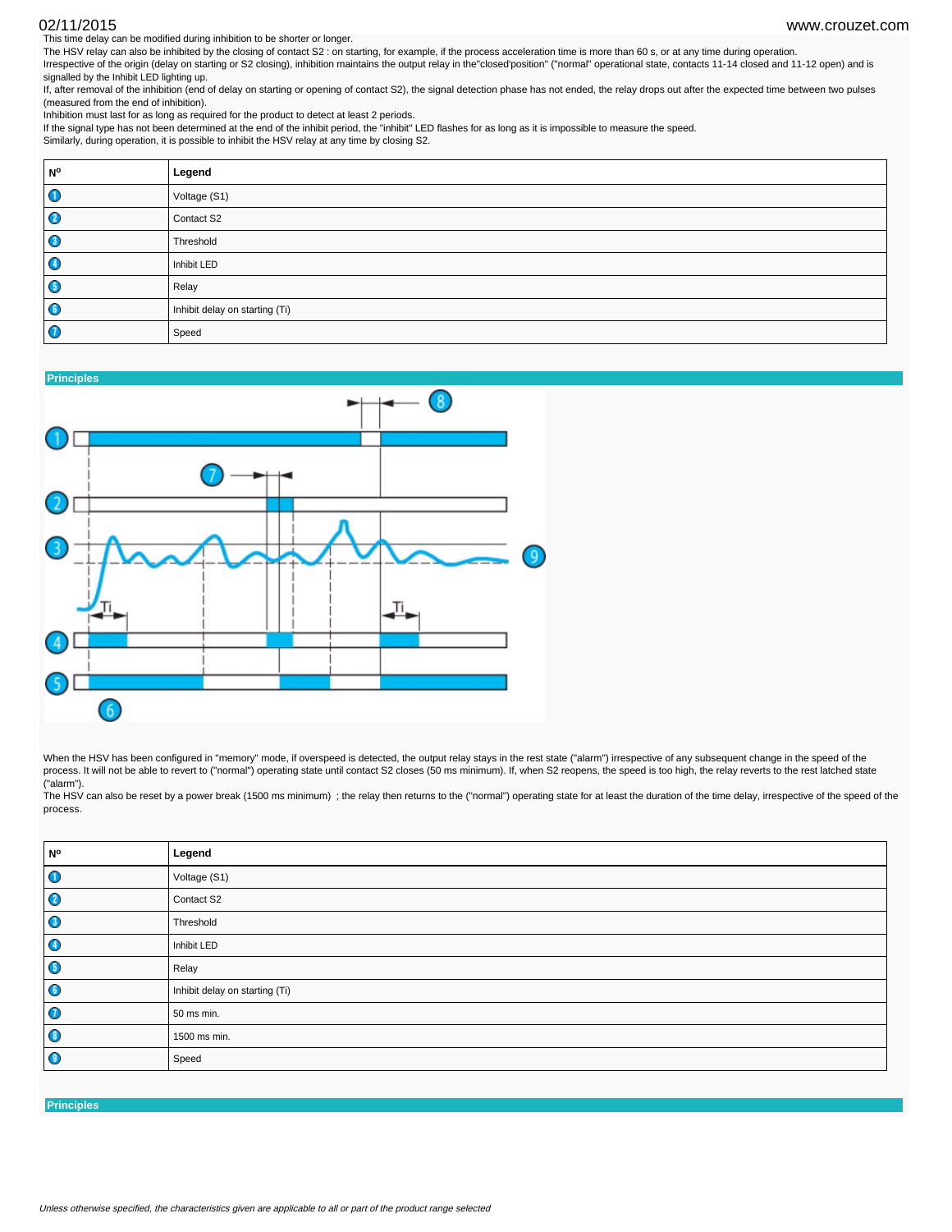This time delay can be modified during inhibition to be shorter or longer. 02/11/2015 www.crouzet.com

The HSV relay can also be inhibited by the closing of contact S2 : on starting, for example, if the process acceleration time is more than 60 s, or at any time during operation. Irrespective of the origin (delay on starting or S2 closing), inhibition maintains the output relay in the"closed'position" ("normal" operational state, contacts 11-14 closed and 11-12 open) and is signalled by the Inhibit LED lighting up.

If, after removal of the inhibition (end of delay on starting or opening of contact S2), the signal detection phase has not ended, the relay drops out after the expected time between two pulses (measured from the end of inhibition).

Inhibition must last for as long as required for the product to detect at least 2 periods.

If the signal type has not been determined at the end of the inhibit period, the "inhibit" LED flashes for as long as it is impossible to measure the speed. Similarly, during operation, it is possible to inhibit the HSV relay at any time by closing S2.

| N°        | Legend                         |
|-----------|--------------------------------|
| $\bullet$ | Voltage (S1)                   |
| $\bullet$ | Contact S2                     |
| $\bullet$ | Threshold                      |
| $\bullet$ | Inhibit LED                    |
| $\bullet$ | Relay                          |
| $\bullet$ | Inhibit delay on starting (Ti) |
| $\bullet$ | Speed                          |



When the HSV has been configured in "memory" mode, if overspeed is detected, the output relay stays in the rest state ("alarm") irrespective of any subsequent change in the speed of the process. It will not be able to revert to ("normal") operating state until contact S2 closes (50 ms minimum). If, when S2 reopens, the speed is too high, the relay reverts to the rest latched state ("alarm").

The HSV can also be reset by a power break (1500 ms minimum) ; the relay then returns to the ("normal") operating state for at least the duration of the time delay, irrespective of the speed of the process.

| N°                   | Legend                         |
|----------------------|--------------------------------|
| $\overline{\bullet}$ | Voltage (S1)                   |
| $\bullet$            | Contact S2                     |
| $\bullet$            | Threshold                      |
| $\bullet$            | Inhibit LED                    |
| $\bullet$            | Relay                          |
| $\bullet$            | Inhibit delay on starting (Ti) |
| $\bullet$            | 50 ms min.                     |
| $\bullet$            | 1500 ms min.                   |
| $\bullet$            | Speed                          |

**Principles**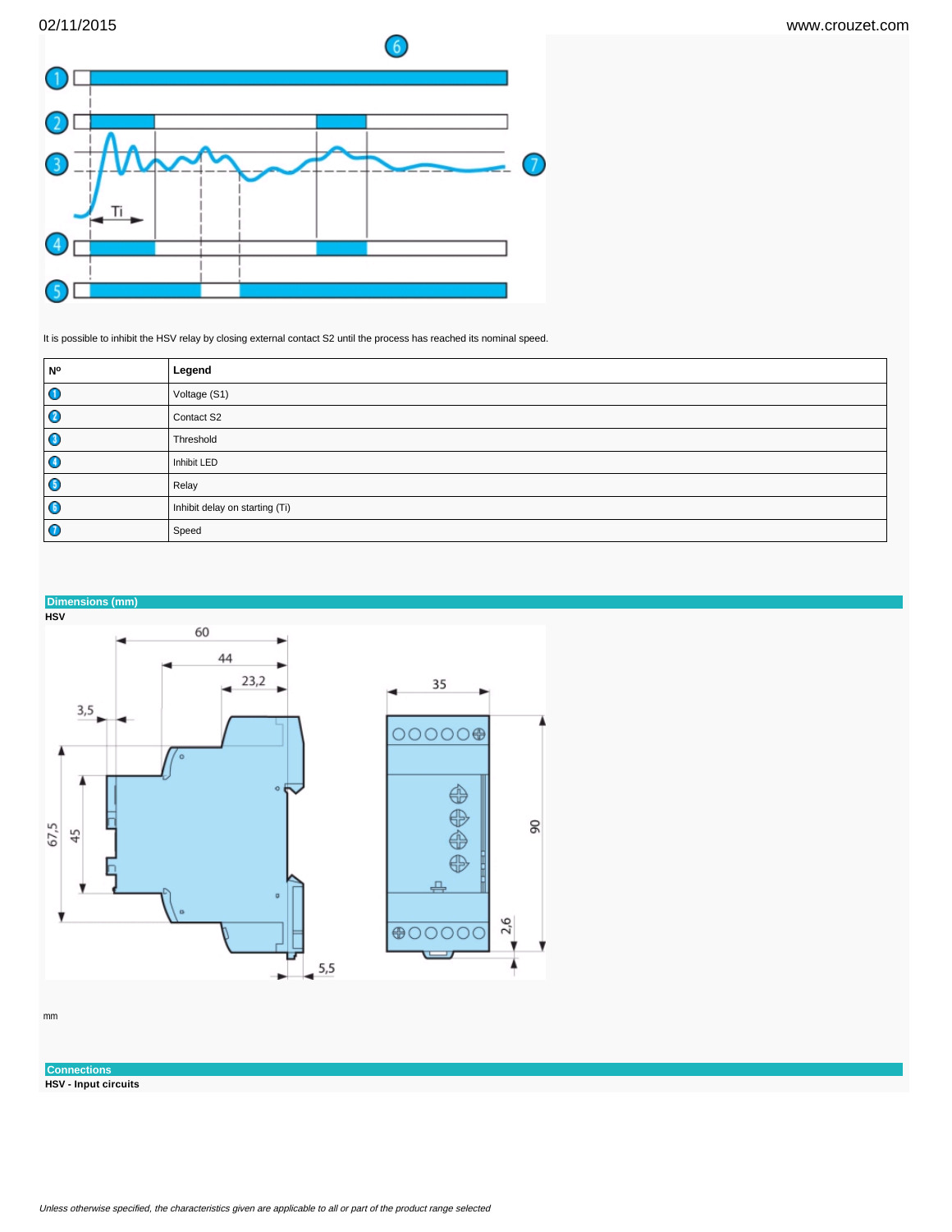

It is possible to inhibit the HSV relay by closing external contact S2 until the process has reached its nominal speed.

| <b>N°</b> | Legend                         |
|-----------|--------------------------------|
| O         | Voltage (S1)                   |
| C         | Contact S2                     |
| u         | Threshold                      |
| O         | Inhibit LED                    |
| G         | Relay                          |
| G         | Inhibit delay on starting (Ti) |
| U         | Speed                          |



mm

**Connections HSV - Input circuits**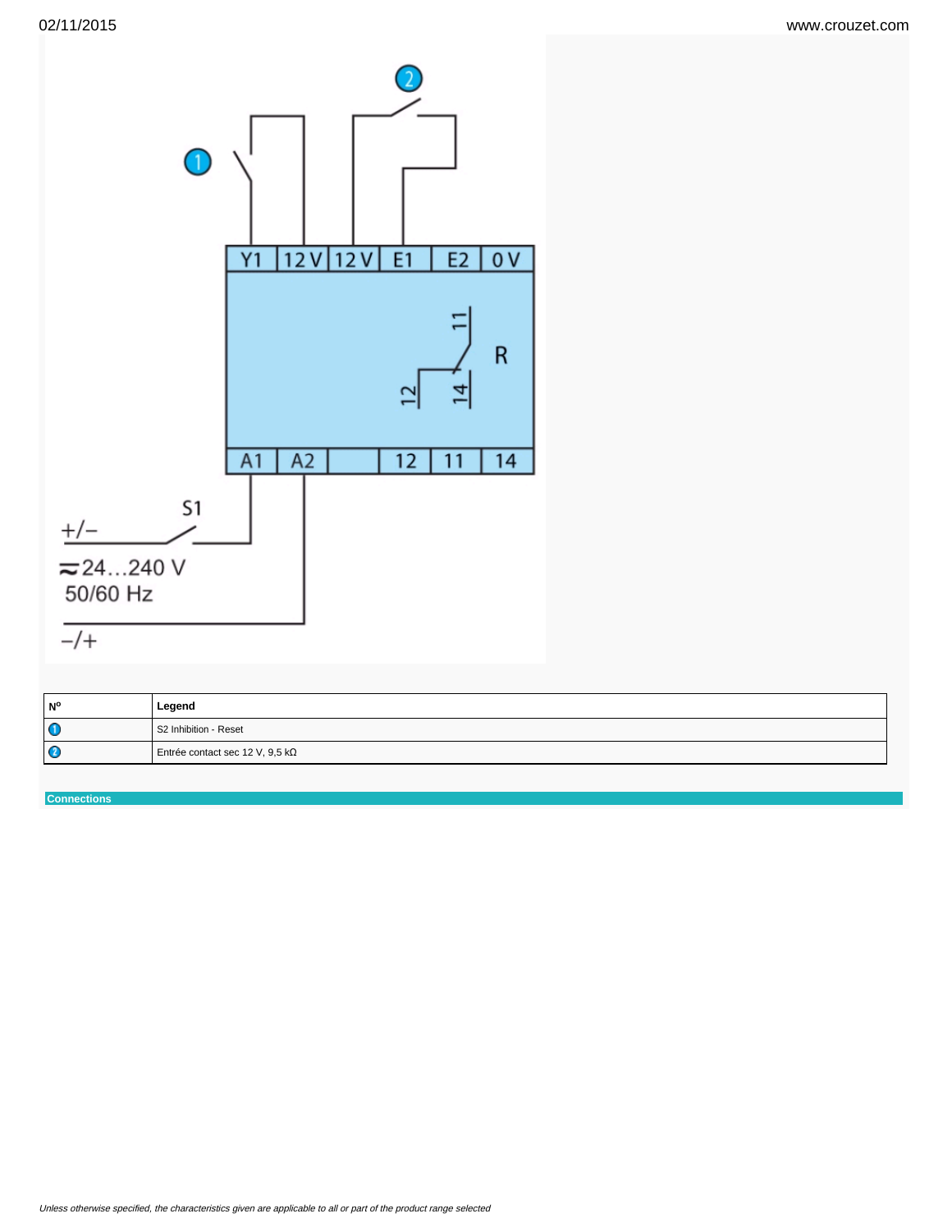

| <b>N°</b> | Legend                          |
|-----------|---------------------------------|
| $\bullet$ | S2 Inhibition - Reset           |
| $\bullet$ | Entrée contact sec 12 V, 9,5 kΩ |

**Connections**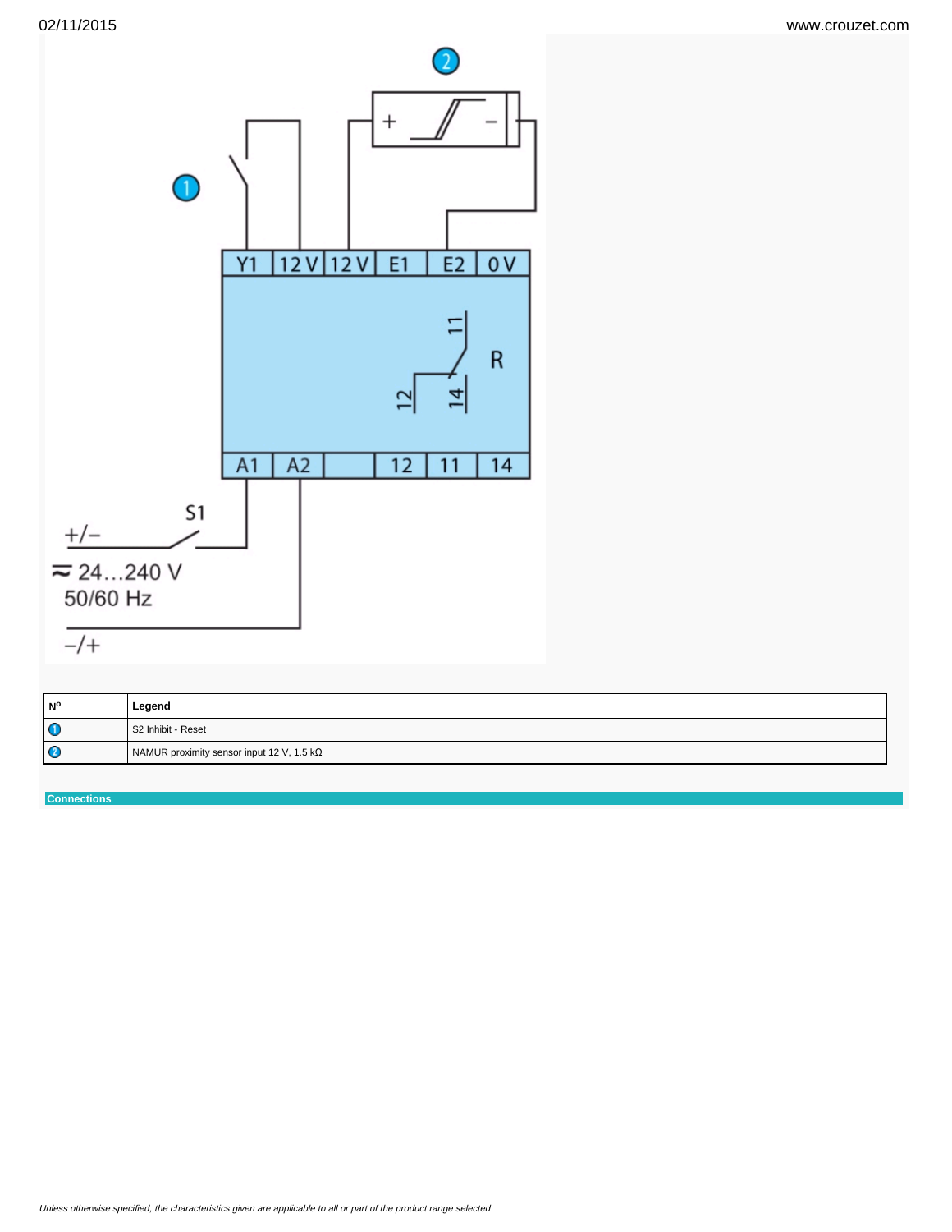

| N°        | Legend                                    |
|-----------|-------------------------------------------|
| $\bullet$ | S2 Inhibit - Reset                        |
| $\bullet$ | NAMUR proximity sensor input 12 V, 1.5 kΩ |

**Connections**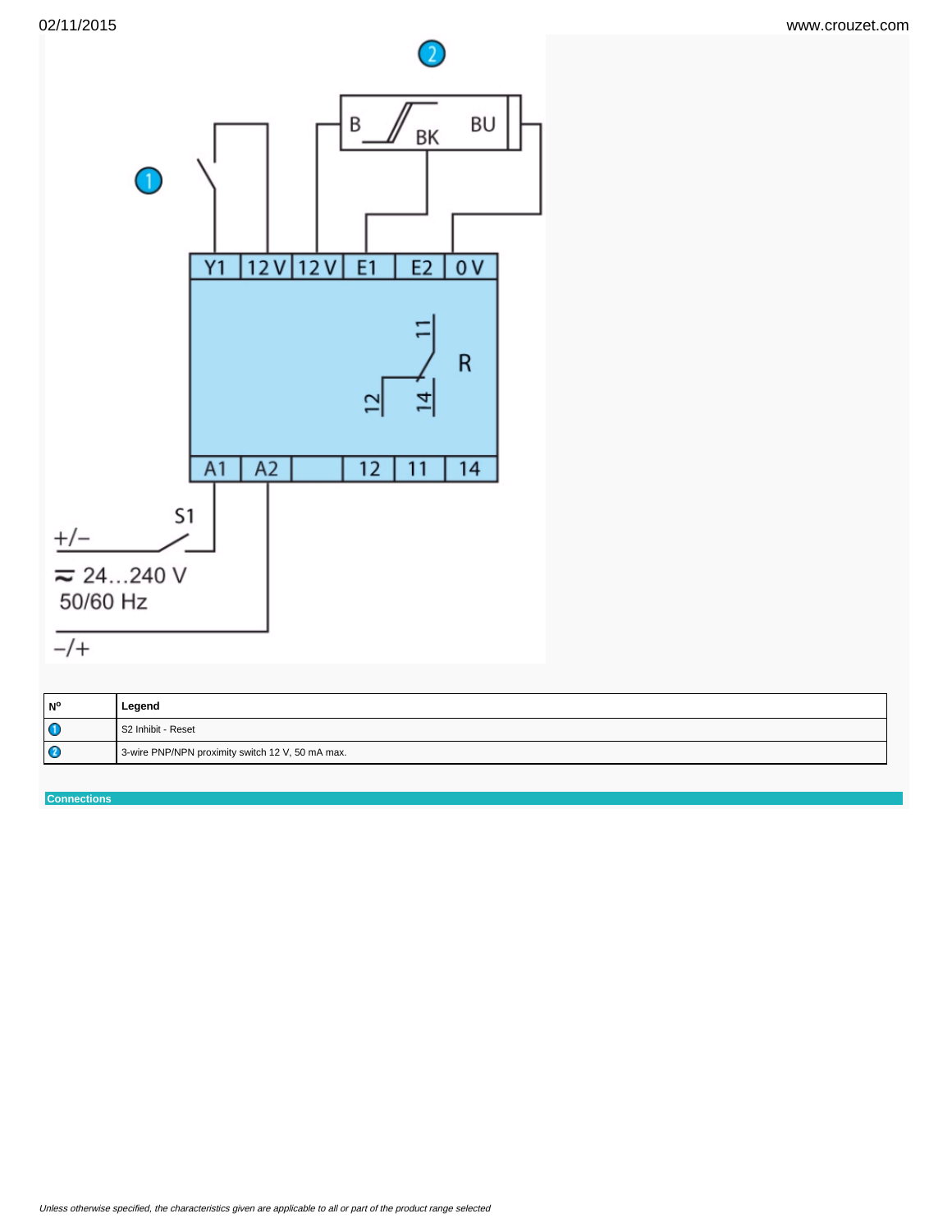



| l N°        | Legend                                           |
|-------------|--------------------------------------------------|
| $\mathbf 0$ | l S2 Inhibit - Reset                             |
| $\mathbf C$ | 3-wire PNP/NPN proximity switch 12 V, 50 mA max. |

**Connections**